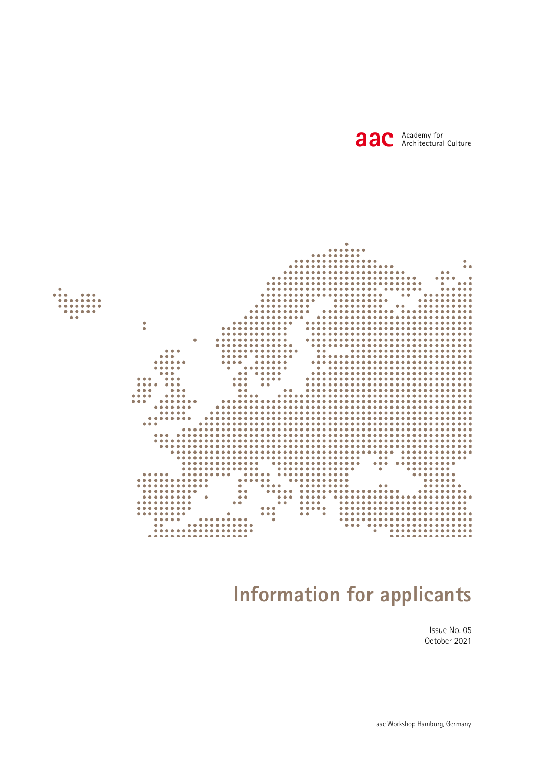



# **Information for applicants**

Issue No. 05 October 2021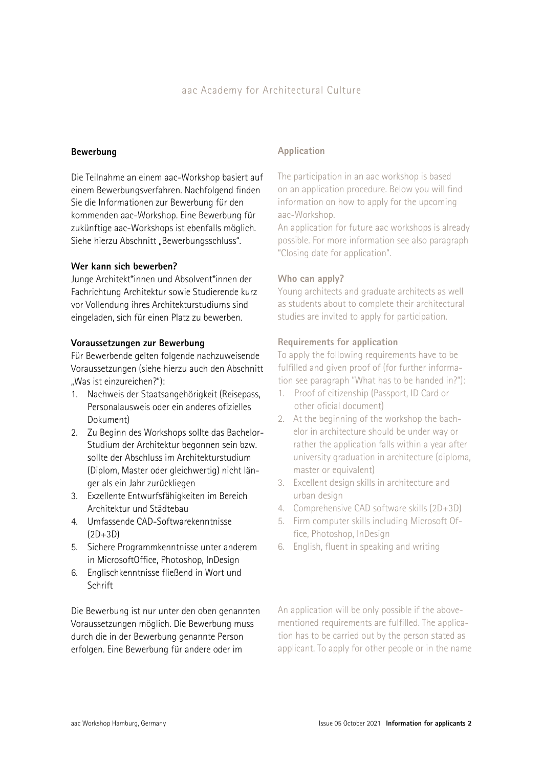## **Bewerbung**

Die Teilnahme an einem aac-Workshop basiert auf einem Bewerbungsverfahren. Nachfolgend finden Sie die Informationen zur Bewerbung für den kommenden aac-Workshop. Eine Bewerbung für zukünftige aac-Workshops ist ebenfalls möglich. Siehe hierzu Abschnitt "Bewerbungsschluss".

## **Wer kann sich bewerben?**

Junge Architekt\*innen und Absolvent\*innen der Fachrichtung Architektur sowie Studierende kurz vor Vollendung ihres Architekturstudiums sind eingeladen, sich für einen Platz zu bewerben.

## **Voraussetzungen zur Bewerbung**

Für Bewerbende gelten folgende nachzuweisende Voraussetzungen (siehe hierzu auch den Abschnitt "Was ist einzureichen?"):

- 1. Nachweis der Staatsangehörigkeit (Reisepass, Personalausweis oder ein anderes ofizielles Dokument)
- 2. Zu Beginn des Workshops sollte das Bachelor-Studium der Architektur begonnen sein bzw. sollte der Abschluss im Architekturstudium (Diplom, Master oder gleichwertig) nicht länger als ein Jahr zurückliegen
- 3. Exzellente Entwurfsfähigkeiten im Bereich Architektur und Städtebau
- 4. Umfassende CAD-Softwarekenntnisse  $(2D+3D)$
- 5. Sichere Programmkenntnisse unter anderem in MicrosoftOffice, Photoshop, InDesign
- 6. Englischkenntnisse fließend in Wort und Schrift

Die Bewerbung ist nur unter den oben genannten Voraussetzungen möglich. Die Bewerbung muss durch die in der Bewerbung genannte Person erfolgen. Eine Bewerbung für andere oder im

# **Application**

The participation in an aac workshop is based on an application procedure. Below you will find information on how to apply for the upcoming aac-Workshop.

An application for future aac workshops is already possible. For more information see also paragraph "Closing date for application".

# **Who can apply?**

Young architects and graduate architects as well as students about to complete their architectural studies are invited to apply for participation.

## **Requirements for application**

To apply the following requirements have to be fulfilled and given proof of (for further information see paragraph "What has to be handed in?"):

- 1. Proof of citizenship (Passport, ID Card or other oficial document)
- 2. At the beginning of the workshop the bachelor in architecture should be under way or rather the application falls within a year after university graduation in architecture (diploma, master or equivalent)
- 3. Excellent design skills in architecture and urban design
- 4. Comprehensive CAD software skills (2D+3D)
- 5. Firm computer skills including Microsoft Office, Photoshop, InDesign
- 6. English, fluent in speaking and writing

An application will be only possible if the abovementioned requirements are fulfilled. The application has to be carried out by the person stated as applicant. To apply for other people or in the name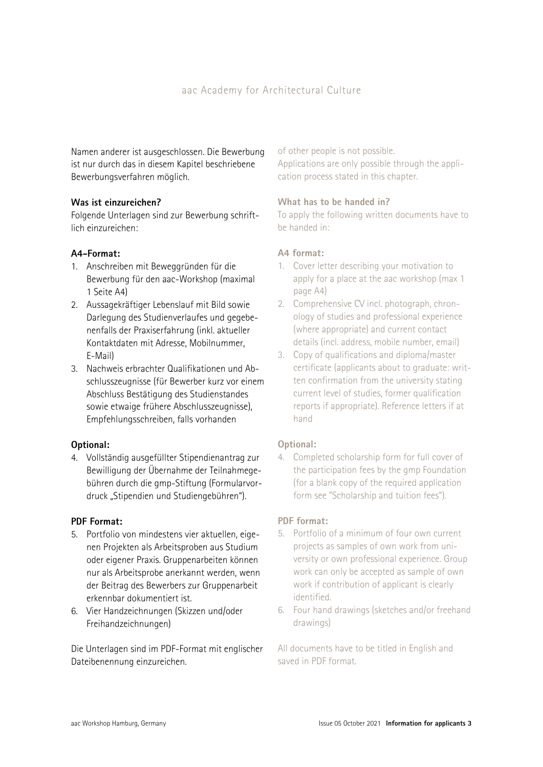Namen anderer ist ausgeschlossen. Die Bewerbung ist nur durch das in diesem Kapitel beschriebene Bewerbungsverfahren möglich.

# **Was ist einzureichen?**

Folgende Unterlagen sind zur Bewerbung schriftlich einzureichen:

# **A4-Format:**

- 1. Anschreiben mit Beweggründen für die Bewerbung für den aac-Workshop (maximal 1 Seite A4)
- 2. Aussagekräftiger Lebenslauf mit Bild sowie Darlegung des Studienverlaufes und gegebenenfalls der Praxiserfahrung (inkl. aktueller Kontaktdaten mit Adresse, Mobilnummer, E-Mail)
- 3. Nachweis erbrachter Qualifikationen und Abschlusszeugnisse (für Bewerber kurz vor einem Abschluss Bestätigung des Studienstandes sowie etwaige frühere Abschlusszeugnisse), Empfehlungsschreiben, falls vorhanden

# **Optional:**

4. Vollständig ausgefüllter Stipendienantrag zur Bewilligung der Übernahme der Teilnahmegebühren durch die gmp-Stiftung (Formularvordruck "Stipendien und Studiengebühren").

# **PDF Format:**

- 5. Portfolio von mindestens vier aktuellen, eigenen Projekten als Arbeitsproben aus Studium oder eigener Praxis. Gruppenarbeiten können nur als Arbeitsprobe anerkannt werden, wenn der Beitrag des Bewerbers zur Gruppenarbeit erkennbar dokumentiert ist.
- 6. Vier Handzeichnungen (Skizzen und/oder Freihandzeichnungen)

Die Unterlagen sind im PDF-Format mit englischer Dateibenennung einzureichen.

of other people is not possible. Applications are only possible through the application process stated in this chapter.

# **What has to be handed in?**

To apply the following written documents have to be handed in:

# **A4 format:**

- 1. Cover letter describing your motivation to apply for a place at the aac workshop (max 1 page A4)
- 2. Comprehensive CV incl. photograph, chronology of studies and professional experience (where appropriate) and current contact details (incl. address, mobile number, email)
- 3. Copy of qualifications and diploma/master certificate (applicants about to graduate: written confirmation from the university stating current level of studies, former qualification reports if appropriate). Reference letters if at hand

# **Optional:**

4. Completed scholarship form for full cover of the participation fees by the gmp Foundation (for a blank copy of the required application form see "Scholarship and tuition fees").

# **PDF format:**

- 5. Portfolio of a minimum of four own current projects as samples of own work from university or own professional experience. Group work can only be accepted as sample of own work if contribution of applicant is clearly identified.
- 6. Four hand drawings (sketches and/or freehand drawings)

All documents have to be titled in English and saved in PDF format.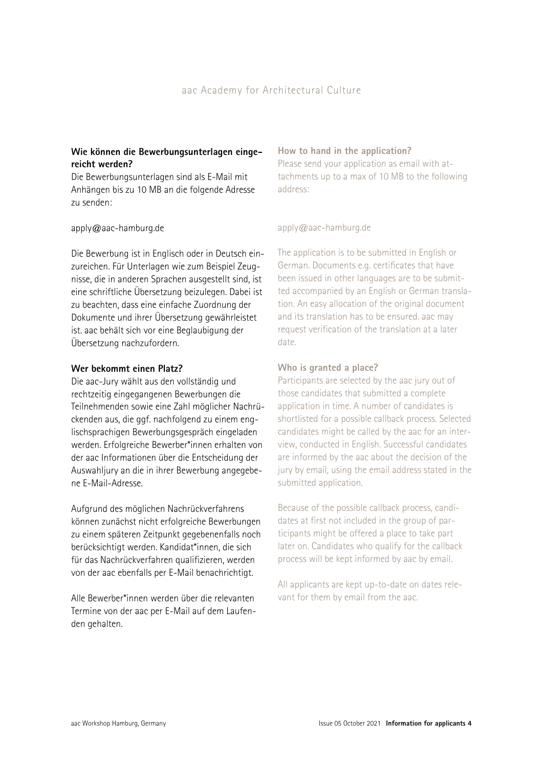# **Wie können die Bewerbungsunterlagen eingereicht werden?**

Die Bewerbungsunterlagen sind als E-Mail mit Anhängen bis zu 10 MB an die folgende Adresse zu senden:

## apply@aac-hamburg.de

Die Bewerbung ist in Englisch oder in Deutsch einzureichen. Für Unterlagen wie zum Beispiel Zeugnisse, die in anderen Sprachen ausgestellt sind, ist eine schriftliche Übersetzung beizulegen. Dabei ist zu beachten, dass eine einfache Zuordnung der Dokumente und ihrer Übersetzung gewährleistet ist. aac behält sich vor eine Beglaubigung der Übersetzung nachzufordern.

## **Wer bekommt einen Platz?**

Die aac-Jury wählt aus den vollständig und rechtzeitig eingegangenen Bewerbungen die Teilnehmenden sowie eine Zahl möglicher Nachrückenden aus, die ggf. nachfolgend zu einem englischsprachigen Bewerbungsgespräch eingeladen werden. Erfolgreiche Bewerber\*innen erhalten von der aac Informationen über die Entscheidung der Auswahljury an die in ihrer Bewerbung angegebene E-Mail-Adresse.

Aufgrund des möglichen Nachrückverfahrens können zunächst nicht erfolgreiche Bewerbungen zu einem späteren Zeitpunkt gegebenenfalls noch berücksichtigt werden. Kandidat\*innen, die sich für das Nachrückverfahren qualifizieren, werden von der aac ebenfalls per E-Mail benachrichtigt.

Alle Bewerber\*innen werden über die relevanten Termine von der aac per E-Mail auf dem Laufenden gehalten.

#### **How to hand in the application?**

Please send your application as email with attachments up to a max of 10 MB to the following address:

## apply@aac-hamburg.de

The application is to be submitted in English or German. Documents e.g. certificates that have been issued in other languages are to be submitted accompanied by an English or German translation. An easy allocation of the original document and its translation has to be ensured. aac may request verification of the translation at a later date.

## **Who is granted a place?**

Participants are selected by the aac jury out of those candidates that submitted a complete application in time. A number of candidates is shortlisted for a possible callback process. Selected candidates might be called by the aac for an interview, conducted in English. Successful candidates are informed by the aac about the decision of the jury by email, using the email address stated in the submitted application.

Because of the possible callback process, candidates at first not included in the group of participants might be offered a place to take part later on. Candidates who qualify for the callback process will be kept informed by aac by email.

All applicants are kept up-to-date on dates relevant for them by email from the aac.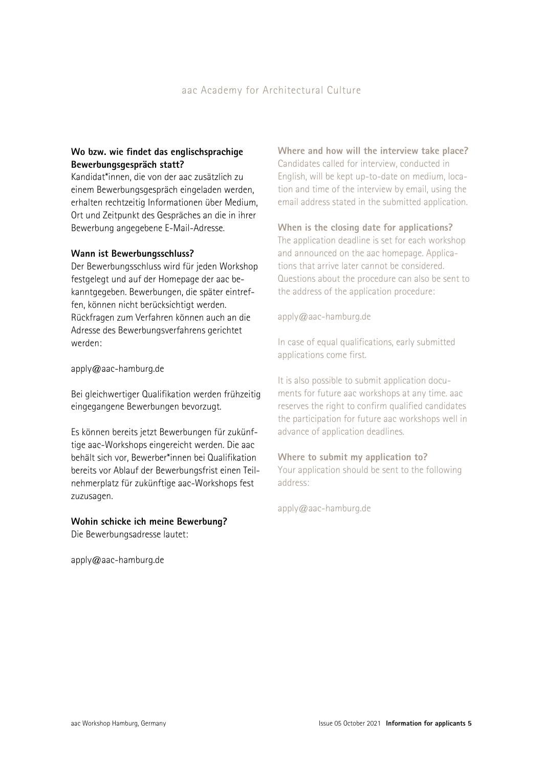# **Wo bzw. wie findet das englischsprachige Bewerbungsgespräch statt?**

Kandidat\*innen, die von der aac zusätzlich zu einem Bewerbungsgespräch eingeladen werden, erhalten rechtzeitig Informationen über Medium, Ort und Zeitpunkt des Gespräches an die in ihrer Bewerbung angegebene E-Mail-Adresse.

## **Wann ist Bewerbungsschluss?**

Der Bewerbungsschluss wird für jeden Workshop festgelegt und auf der Homepage der aac bekanntgegeben. Bewerbungen, die später eintreffen, können nicht berücksichtigt werden. Rückfragen zum Verfahren können auch an die Adresse des Bewerbungsverfahrens gerichtet werden:

apply@aac-hamburg.de

Bei gleichwertiger Qualifikation werden frühzeitig eingegangene Bewerbungen bevorzugt.

Es können bereits jetzt Bewerbungen für zukünftige aac-Workshops eingereicht werden. Die aac behält sich vor, Bewerber\*innen bei Qualifikation bereits vor Ablauf der Bewerbungsfrist einen Teilnehmerplatz für zukünftige aac-Workshops fest zuzusagen.

## **Wohin schicke ich meine Bewerbung?**

Die Bewerbungsadresse lautet:

apply@aac-hamburg.de

## **Where and how will the interview take place?**

Candidates called for interview, conducted in English, will be kept up-to-date on medium, location and time of the interview by email, using the email address stated in the submitted application.

## **When is the closing date for applications?**

The application deadline is set for each workshop and announced on the aac homepage. Applications that arrive later cannot be considered. Questions about the procedure can also be sent to the address of the application procedure:

apply@aac-hamburg.de

In case of equal qualifications, early submitted applications come first.

It is also possible to submit application documents for future aac workshops at any time. aac reserves the right to confirm qualified candidates the participation for future aac workshops well in advance of application deadlines.

## **Where to submit my application to?**

Your application should be sent to the following address:

apply@aac-hamburg.de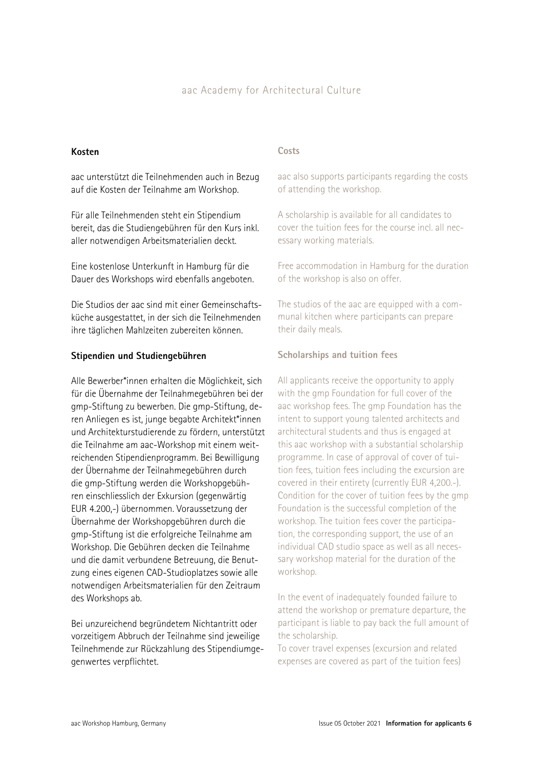## **Kosten**

aac unterstützt die Teilnehmenden auch in Bezug auf die Kosten der Teilnahme am Workshop.

Für alle Teilnehmenden steht ein Stipendium bereit, das die Studiengebühren für den Kurs inkl. aller notwendigen Arbeitsmaterialien deckt.

Eine kostenlose Unterkunft in Hamburg für die Dauer des Workshops wird ebenfalls angeboten.

Die Studios der aac sind mit einer Gemeinschaftsküche ausgestattet, in der sich die Teilnehmenden ihre täglichen Mahlzeiten zubereiten können.

## **Stipendien und Studiengebühren**

Alle Bewerber\*innen erhalten die Möglichkeit, sich für die Übernahme der Teilnahmegebühren bei der gmp-Stiftung zu bewerben. Die gmp-Stiftung, deren Anliegen es ist, junge begabte Architekt\*innen und Architekturstudierende zu fördern, unterstützt die Teilnahme am aac-Workshop mit einem weitreichenden Stipendienprogramm. Bei Bewilligung der Übernahme der Teilnahmegebühren durch die gmp-Stiftung werden die Workshopgebühren einschliesslich der Exkursion (gegenwärtig EUR 4.200,-) übernommen. Voraussetzung der Übernahme der Workshopgebühren durch die gmp-Stiftung ist die erfolgreiche Teilnahme am Workshop. Die Gebühren decken die Teilnahme und die damit verbundene Betreuung, die Benutzung eines eigenen CAD-Studioplatzes sowie alle notwendigen Arbeitsmaterialien für den Zeitraum des Workshops ab.

Bei unzureichend begründetem Nichtantritt oder vorzeitigem Abbruch der Teilnahme sind jeweilige Teilnehmende zur Rückzahlung des Stipendiumgegenwertes verpflichtet.

## **Costs**

aac also supports participants regarding the costs of attending the workshop.

A scholarship is available for all candidates to cover the tuition fees for the course incl. all necessary working materials.

Free accommodation in Hamburg for the duration of the workshop is also on offer.

The studios of the aac are equipped with a communal kitchen where participants can prepare their daily meals.

## **Scholarships and tuition fees**

All applicants receive the opportunity to apply with the gmp Foundation for full cover of the aac workshop fees. The gmp Foundation has the intent to support young talented architects and architectural students and thus is engaged at this aac workshop with a substantial scholarship programme. In case of approval of cover of tuition fees, tuition fees including the excursion are covered in their entirety (currently EUR 4,200.-). Condition for the cover of tuition fees by the gmp Foundation is the successful completion of the workshop. The tuition fees cover the participation, the corresponding support, the use of an individual CAD studio space as well as all necessary workshop material for the duration of the workshop.

In the event of inadequately founded failure to attend the workshop or premature departure, the participant is liable to pay back the full amount of the scholarship.

To cover travel expenses (excursion and related expenses are covered as part of the tuition fees)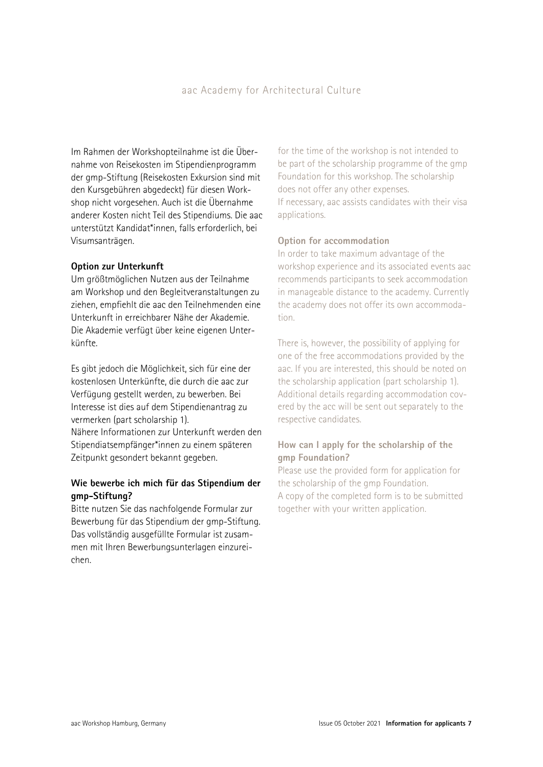Im Rahmen der Workshopteilnahme ist die Übernahme von Reisekosten im Stipendienprogramm der gmp-Stiftung (Reisekosten Exkursion sind mit den Kursgebühren abgedeckt) für diesen Workshop nicht vorgesehen. Auch ist die Übernahme anderer Kosten nicht Teil des Stipendiums. Die aac unterstützt Kandidat\*innen, falls erforderlich, bei Visumsanträgen.

## **Option zur Unterkunft**

Um größtmöglichen Nutzen aus der Teilnahme am Workshop und den Begleitveranstaltungen zu ziehen, empfiehlt die aac den Teilnehmenden eine Unterkunft in erreichbarer Nähe der Akademie. Die Akademie verfügt über keine eigenen Unterkünfte.

Es gibt jedoch die Möglichkeit, sich für eine der kostenlosen Unterkünfte, die durch die aac zur Verfügung gestellt werden, zu bewerben. Bei Interesse ist dies auf dem Stipendienantrag zu vermerken (part scholarship 1).

Nähere Informationen zur Unterkunft werden den Stipendiatsempfänger\*innen zu einem späteren Zeitpunkt gesondert bekannt gegeben.

# **Wie bewerbe ich mich für das Stipendium der gmp-Stiftung?**

Bitte nutzen Sie das nachfolgende Formular zur Bewerbung für das Stipendium der gmp-Stiftung. Das vollständig ausgefüllte Formular ist zusammen mit Ihren Bewerbungsunterlagen einzureichen.

for the time of the workshop is not intended to be part of the scholarship programme of the gmp Foundation for this workshop. The scholarship does not offer any other expenses. If necessary, aac assists candidates with their visa applications.

#### **Option for accommodation**

In order to take maximum advantage of the workshop experience and its associated events aac recommends participants to seek accommodation in manageable distance to the academy. Currently the academy does not offer its own accommodation.

There is, however, the possibility of applying for one of the free accommodations provided by the aac. If you are interested, this should be noted on the scholarship application (part scholarship 1). Additional details regarding accommodation covered by the acc will be sent out separately to the respective candidates.

# **How can I apply for the scholarship of the gmp Foundation?**

Please use the provided form for application for the scholarship of the gmp Foundation. A copy of the completed form is to be submitted together with your written application.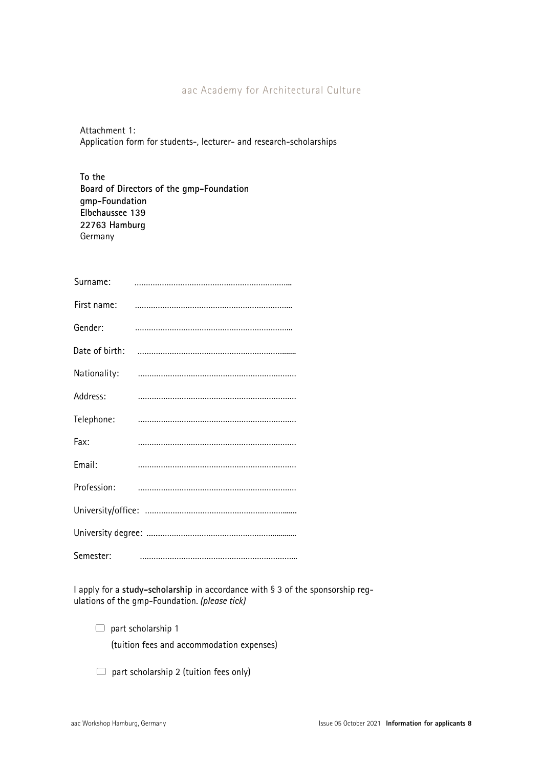Attachment 1: Application form for students-, lecturer- and research-scholarships

**To the Board of Directors of the gmp-Foundation gmp-Foundation Elbchaussee 139 22763 Hamburg**  Germany

| Surname:     |  |
|--------------|--|
|              |  |
| Gender:      |  |
|              |  |
| Nationality: |  |
| Address:     |  |
| Telephone:   |  |
| Fax:         |  |
| Email:       |  |
| Profession:  |  |
|              |  |
|              |  |
| Semester:    |  |

I apply for a **study-scholarship** in accordance with § 3 of the sponsorship regulations of the gmp-Foundation. *(please tick)* 

 $\Box$  part scholarship 1

(tuition fees and accommodation expenses)

 $\Box$  part scholarship 2 (tuition fees only)